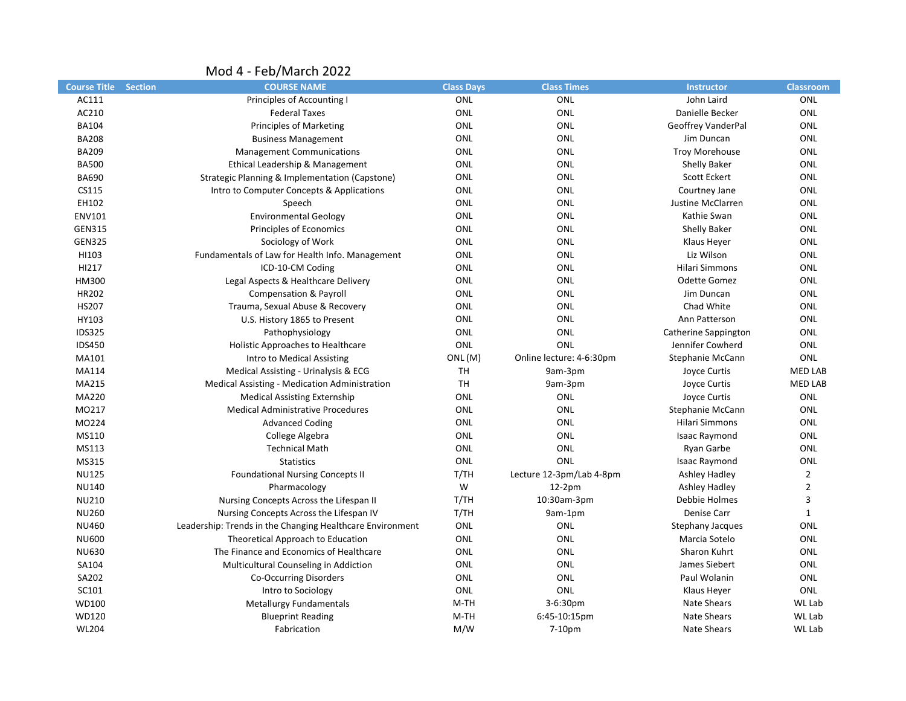## Mod 4 - Feb/March 2022

| <b>Course Title</b> | <b>COURSE NAME</b><br><b>Section</b>                      | <b>Class Days</b> | <b>Class Times</b>       | <b>Instructor</b>        | <b>Classroom</b> |
|---------------------|-----------------------------------------------------------|-------------------|--------------------------|--------------------------|------------------|
| AC111               | Principles of Accounting I                                | ONL               | ONL                      | John Laird               | ONL              |
| AC210               | <b>Federal Taxes</b>                                      | ONL               | <b>ONL</b>               | Danielle Becker          | ONL              |
| <b>BA104</b>        | Principles of Marketing                                   | ONL               | ONL                      | Geoffrey VanderPal       | ONL              |
| <b>BA208</b>        | <b>Business Management</b>                                | ONL               | ONL                      | Jim Duncan               | ONL              |
| <b>BA209</b>        | <b>Management Communications</b>                          | ONL               | ONL                      | <b>Troy Morehouse</b>    | ONL              |
| <b>BA500</b>        | Ethical Leadership & Management                           | ONL               | ONL                      | Shelly Baker             | ONL              |
| <b>BA690</b>        | Strategic Planning & Implementation (Capstone)            | ONL               | ONL                      | Scott Eckert             | ONL              |
| CS115               | Intro to Computer Concepts & Applications                 | ONL               | <b>ONL</b>               | Courtney Jane            | ONL              |
| EH102               | Speech                                                    | ONL               | ONL                      | <b>Justine McClarren</b> | ONL              |
| <b>ENV101</b>       | <b>Environmental Geology</b>                              | ONL               | ONL                      | Kathie Swan              | ONL              |
| <b>GEN315</b>       | Principles of Economics                                   | ONL               | ONL                      | <b>Shelly Baker</b>      | ONL              |
| <b>GEN325</b>       | Sociology of Work                                         | ONL               | <b>ONL</b>               | Klaus Heyer              | ONL              |
| HI103               | Fundamentals of Law for Health Info. Management           | ONL               | ONL                      | Liz Wilson               | ONL              |
| HI217               | ICD-10-CM Coding                                          | ONL               | ONL                      | Hilari Simmons           | ONL              |
| HM300               | Legal Aspects & Healthcare Delivery                       | ONL               | ONL                      | Odette Gomez             | ONL              |
| HR202               | <b>Compensation &amp; Payroll</b>                         | ONL               | ONL                      | Jim Duncan               | ONL              |
| <b>HS207</b>        | Trauma, Sexual Abuse & Recovery                           | ONL               | ONL                      | Chad White               | ONL              |
| HY103               | U.S. History 1865 to Present                              | ONL               | ONL                      | Ann Patterson            | ONL              |
| <b>IDS325</b>       | Pathophysiology                                           | ONL               | ONL                      | Catherine Sappington     | ONL              |
| <b>IDS450</b>       | Holistic Approaches to Healthcare                         | ONL               | ONL                      | Jennifer Cowherd         | ONL              |
| MA101               | Intro to Medical Assisting                                | ONL(M)            | Online lecture: 4-6:30pm | Stephanie McCann         | ONL              |
| MA114               | Medical Assisting - Urinalysis & ECG                      | TH                | 9am-3pm                  | Joyce Curtis             | <b>MED LAB</b>   |
| MA215               | Medical Assisting - Medication Administration             | <b>TH</b>         | 9am-3pm                  | Joyce Curtis             | <b>MED LAB</b>   |
| MA220               | <b>Medical Assisting Externship</b>                       | ONL               | ONL                      | Joyce Curtis             | ONL              |
| M0217               | <b>Medical Administrative Procedures</b>                  | ONL               | ONL                      | Stephanie McCann         | ONL              |
| MO224               | <b>Advanced Coding</b>                                    | <b>ONL</b>        | <b>ONL</b>               | Hilari Simmons           | ONL              |
| MS110               | College Algebra                                           | ONL               | ONL                      | <b>Isaac Raymond</b>     | ONL              |
| MS113               | <b>Technical Math</b>                                     | ONL               | <b>ONL</b>               | Ryan Garbe               | ONL              |
| MS315               | <b>Statistics</b>                                         | ONL               | ONL                      | <b>Isaac Raymond</b>     | ONL              |
| <b>NU125</b>        | <b>Foundational Nursing Concepts II</b>                   | T/TH              | Lecture 12-3pm/Lab 4-8pm | Ashley Hadley            | $\overline{2}$   |
| <b>NU140</b>        | Pharmacology                                              | W                 | $12-2pm$                 | Ashley Hadley            | $\overline{2}$   |
| <b>NU210</b>        | Nursing Concepts Across the Lifespan II                   | T/TH              | 10:30am-3pm              | Debbie Holmes            | 3                |
| <b>NU260</b>        | Nursing Concepts Across the Lifespan IV                   | T/TH              | 9am-1pm                  | Denise Carr              | $\mathbf{1}$     |
| <b>NU460</b>        | Leadership: Trends in the Changing Healthcare Environment | ONL               | ONL                      | Stephany Jacques         | ONL              |
| <b>NU600</b>        | Theoretical Approach to Education                         | ONL               | ONL                      | Marcia Sotelo            | ONL              |
| <b>NU630</b>        | The Finance and Economics of Healthcare                   | ONL               | <b>ONL</b>               | Sharon Kuhrt             | ONL              |
| SA104               | Multicultural Counseling in Addiction                     | ONL               | ONL                      | James Siebert            | ONL              |
| SA202               | Co-Occurring Disorders                                    | ONL               | ONL                      | Paul Wolanin             | ONL              |
| SC101               | Intro to Sociology                                        | ONL               | ONL                      | Klaus Heyer              | ONL              |
| WD100               | <b>Metallurgy Fundamentals</b>                            | M-TH              | 3-6:30pm                 | <b>Nate Shears</b>       | WL Lab           |
| WD120               | <b>Blueprint Reading</b>                                  | M-TH              | 6:45-10:15pm             | <b>Nate Shears</b>       | <b>WL Lab</b>    |
| <b>WL204</b>        | Fabrication                                               | M/W               | 7-10pm                   | <b>Nate Shears</b>       | WL Lab           |